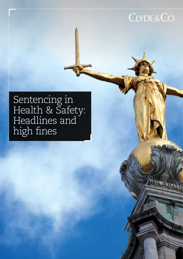### **CLYDE&CO**

### Sentencing in Health & Safety: Headlines and high fines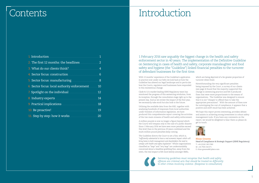### **Contents**

| 1. Introduction                              |                |
|----------------------------------------------|----------------|
| 2. The first 12 months: the headlines        | $\overline{2}$ |
| 3. What do our clients think?                | 4              |
| 4. Sector focus: construction                | 6              |
| 5. Sector focus: manufacturing.              | 8              |
| 6. Sector focus: local authority enforcement | 10             |
| 7. Spotlight on the individual               | 12             |
| 8. Industry experts                          | 14             |
| <b>9. Practical implications</b>             | 18             |
| 10. Be proactive!                            | 19             |
| 11. Step by step: how it works               | 20             |

## Introduction

1 February 2016 saw arguably the biggest change in the health and safety enforcement sector in 40 years. The implementation of the Definitive Guideline on Sentencing in cases of health and safety, corporate manslaughter and food safety and hygiene (the "Guideline") linked financial penalties to the turnover of defendant businesses for the first time.

With 12 months' experience of the Guideline's application in practice now under our belts we look back at how the Guideline has altered our legal landscape and in particular how the Courts, regulators and businesses have responded to this momentous change.

Clyde & Co's market leading SSHE Regulatory team has monitored the progress of this sentencing revolution, from its inception, through the consultation stage right up to the present day. And as we review the impact of the first year, we necessarily take stock but also look to the future.

*Sentencing guidelines must recognise that health and safety offences are criminal acts that should be treated no differently*  Sentencing guidelines must recognise that health and safety offences are criminal acts that should be treated no differentl<br>to other crimes involving violence. (Response to consultation)<br> $\blacksquare$ 

Utilising the available data from the HSE, together with analysing hundreds of responses from local authorities under freedom of information legislation, we have produced this comprehensive report covering the activities of the two main streams of health and safety enforcement.

A million pounds is now no longer a figure beyond which the Courts will trespass only in the case of a public disaster. Since 1 February 2016 we have seen more penalties exceed this level than in the previous 20 years combined and the multi-million pound penalties keep coming.

The Guideline directs the Court to set a fine, which is, *"sufficiently substantial to have a real economic impact which will bring home to both management and shareholders the need to comply with health and safety legislation".* Whilst organisations classified as *"large"* and *"very large"* are understandably concerned about a headline grabbing fine, away from the news, the real impact is felt most keenly amongst SMEs,



which are being deprived of a far greater proportion of turnover when fined.

Notwithstanding the very significant penalties being imposed by the Court, a survey of our clients (see page 4) found that the majority supported this change in sentencing practice and felt it produced fines that were more proportionate to the means of organisations. The Guideline was designed to ensure that it is not "cheaper to offend than to take the appropriate precautions". With the amount of fines now far outstripping the cost of compliance, it appears that a positive and swift result has been achieved.

We hope this report proves interesting, provokes debate and assists in achieving strong investment in robust safety management tools. If you have any comments on the report, we would be delighted to hear them so please do get in touch.



**Rhian Greaves** Head of Compliance & Strategic Support (SSHE Regulatory) T: +44 (0)161 240 2580 M: +44 7920 218 071 E: rhian.greaves@clydeco.com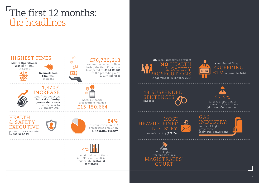## The first 12 months: the headlines

sentences



### 19 number of fines EXCEEDING  $\rm \pm 1M$  imposed in 2016

source of highest proportion of individual convictions



largest proportion of turnover taken in fines (Monavon Construction)



manufacturing (£22.7m) MOST HEAVI INDUSTRY:

imposed 43 SUSPENDED SENTENCES





### GAS INDUSTRY:

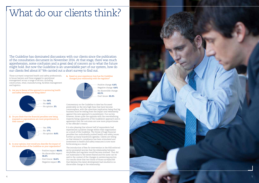

## What do our clients think?

The Guideline has dominated discussions with our clients since the publication of the consultation document in November 2014. At that stage, there was much apprehension, some confusion and a great deal of concern as to what the future might hold. But now the Guideline is an unavoidable part of our system, how do our clients feel about it? We carried out a short survey to find out.

Those surveyed comprised health and safety professionals, in house lawyers and those engaged in operational management across a range of sectors, including construction, retail, manufacturing, facilities management and logistics.

> Commentary on the Guideline to date has focussed predictably on the very high fines that have become commonplace, with the unwritten implication being that big business must be reeling from the impact and vehemently against this new approach to punishment. Our survey, however, shows quite the opposite with the overwhelming majority being supportive of the Guideline's approach and in agreement that the outcomes are now more proportionate to the offender's means.

Positive impact: 46.6% No discernible impact: 36.6% Don't know: 16.6% Negative impact: 0%

1. Are you in favour of the approach to sentencing health and safety breaches now being taken?

2. Do you think that the financial penalties now being imposed on organisations are more proportionate to their means?

> It is also pleasing that almost half of respondents had experienced a positive change within their organisation as a result of the Guideline. The threat of huge financial penalties has undoubtedly pushed health and safety issues further up many boardroom agendas. Clients are telling us that interest in compliance has been stimulated and investment in health and safety measures is now more forthcoming as a result.

The introduction of fees for intervention in the HSE enforced sector prompted worries that the relationship between dutyholder and regulator would become strained. That did not materialise to the extent feared and the same can be said in the context of the changes in sentencing practice. Our results show that two thirds of those surveyed felt that likewise this latest development had resulted in no discernible change in the relationship.





Positive change: 6.6% Negative change: 6.6% No discernible change: 63.3% Don't know: 23.3%

3. In your opinion, how would you describe the impact of the introduction of the Guideline on your organisation?



4. Based on your experience, how has the Guideline changed your relationship with the regulator?

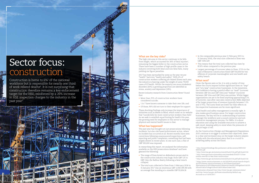### Sector focus: construction

Construction is home to  $6\%$ <sup>1</sup> of the national workforce but is responsible for nearly one third of work related deaths 2 . It is not surprising that construction therefore remains a key enforcement target for the HSE, reinforced by a 26% increase in HSE inspection charges to the industry in the



#### **What are the key risks?**

The high risk area in this sector continues to be falls from height, which accounted for 26% of fatal injuries 4 , remaining the biggest killer in the construction sector. There have been a number of high-profile cases in the industry involving both fatal and non-fatal falls, many yielding six figure penalties.

2017 has been earmarked by some as the year we put "health" back into "health and safety". With 4% of construction workers suffering job related illness each year, the industry is heaving under the weight of some 79,000 cases of ill health. Whilst the majority are musculoskeletal disorders (64%) a growing proportion are identified as stress, anxiety and depression (18%).

In researching this report, we analysed the information available on the HSE prosecutions database $6$  and have gleaned the following:

Recent industry research from Construction News 5 found th at:

- **•** More than 25% of construction workers have considered suicide;
- **•** 1 in 7 have known someone to take their own life; and
- **•** Of those, 90% did not turn to their employer for support

These shocking findings only increase the importance of initiatives such as Mates in Mind, which notes on its website that "suicide kills far more construction workers than falls". As we seek to establish equal footing for health this year, the growing need for employers in this sector to manage physical and mental health issues is clear.

### **What has happened?**

The past year has brought not just prosecutions following incidents, but also risk based enforcement action, where no incident has occurred at all. Recent months have seen convictions following unannounced inspections, selfreporting and public complaints, something that had been largely absent in recent years. In one such case, a fine of GBP 500,000 was imposed.

- **•** The range of fines levied on defendants prosecuted in the construction industry was huge; from GBP 125 to GBP 2.6m (for Balfour Beatty following a fatal trench collapse)
- **•** The total sum collected in fines from 1 February 2016 to 31 January 2017 was an enormous GBP 12,967,395.98 with an average fine standing at a sizeable GBP 92,624.26
- **•** In the comparable previous year (1 February 2015 to 31 January 2016), the total sum collected in fines was GBP 7,091,529
- **•** This means that the total sum collected has risen by 82.8% when compared to the previous year
- **•** Largest percentage of turnover taken in fines: 27.5% in the case of Monavon Construction fined GBP 550,000 for two offences of corporate manslaughter and one health and safety breach

#### **What next?**

Given the figures seen so far, it is only a matter of time before the courts impose further significant fines on *"large"*  and *"very large"* construction businesses. In the meantime, the Guideline is having a painful effect on *"small"* (turnover between GBP 2m and GBP 10m) and *"medium"* (turnover between GBP 10m and GBP 50m) size entities. Whilst bigger organisations are yet to be fined anything approaching 0.1% of turnover, case after case sees construction SMEs deprived of far larger proportions of revenue (typically between 1.5% and 3.75%). The sums fined are lower but their effects on the respective businesses are far more significant.

Good health and safety management is morally right. It also makes good business sense. For larger construction businesses, the key will be in understanding of systems amongst the workforce and a sound contractor and subcontractor management process. For SMEs, it is about education and using the available resources to achieve a safe result, keeping safety in mind when the pressures of the job begin to tell.

As the Construction (Design and Management) Regulations 2015 continue to struggle to achieve their objectives, there is a clear and increased onus on the larger industry players to help with the educational piece that is so crucial to achieving safety across the board.

<sup>1</sup> http://researchbriefings.files.parliament.uk/documents/SN01432/ SN01432.pdf<br><sup>2</sup> http://www.hse.gov.uk/statistics/overall/hssh1516.pdf?pdf=hssh1516

<sup>6</sup> Information obtained from http://www.hse.gov.uk/prosecutions/ and http://www.hse.gov.uk/ProsecutionsHistory/default.asp. <sup>5</sup> https://www.constructionnews.co.uk/10019419.article?search=https%<br>3a%2f%2fwww.constructionnews.co.uk%2fsearcharticles%<br>3fparametrics%3d%26keywords%3dmental+health%26PageSize%3d10%<br>26cmd%3dGoToPage%26val%3d3%26SortOrder

<sup>3</sup> http://www.ppconstructionsafety.com/newsdesk/2016/07/11/hse-

invoice-over-4m-in-fees-from-construction/ 4 http://www.hse.gov.uk/statistics/overall/hssh1516.pdf?pdf=hssh1516 3a%2f%2fwww.constructionnews.co.uk%2fsearcharticles%

<sup>3</sup>fparametrics%3d%26keywords%3dmental+health%26PageSize%3d10% 26cmd%3dGoToPage%26val%3d3%26SortOrder%3d1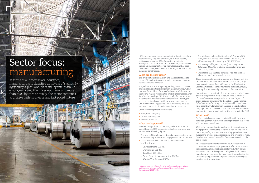HSE statistics show that manufacturing directly employs approximately 8.5% of workforce (2.5 million people), but is accountable for 16% of reported injuries to employees. This is reflected in our research, which shows that as an enforcement sector, manufacturing has paid the most in fines, well ahead of other high-risk industries including construction.

#### **What are the key risks?**

The proliferation of machinery and the constant need to create efficiencies of process remain common root causes behind countless incidents.

It is perhaps unsurprising that guarding issues continue to present the highest risk of injury in manufacturing. Whilst many of the accidents fortunately do not result in fatalities, the Courts remain robust in the level of fines imposed, with Tata Steel attracting a GBP 1.98m penalty for two separate incidents that had resulted in worker injury. These types of cases, habitually dealt with by way of fines capped at GBP 20,000 in the Magistrates' Court previously, have led to a huge increase in financial penalties in this sector.

Other key management concerns are:-

- **•** Workplace transport;
- **•** Manual handling; and
- **•** Electricity at work

#### **What has happened?**

In researching this report, we analysed the information available on the HSE prosecutions database and were able to obtain the following figures:

As the courts become more comfortable with their new sentencing powers, we suspect that high fines in this sector will continue to dominate.

- **•** The range of fines levied on defendants prosecuted in the manufacturing industry was huge; from GBP 1 to GBP 3m.
- **•** Cases prosecuted in this industry yielded some headline fines:-
- Cristal Pigment: GBP 3m
- Warburtons: GBP 2m
- Tata Steel: GBP 1.98m
- Parker Hannifin Manufacturing: GBP 1m
- Watling Tyre Services: GBP 1m
- **•** The total sum collected in fines from 1 February 2016 to 31 January 2017 was an enormous GBP 22,781,021.23 with an average fine standing at GBP 157,110.49
- **•** In the comparable previous year (1 February 2015 to 31 January 2016), the total sum collected in fines was GBP 11,421,755.56
- **•** This means that the total sum collected has doubled when compared to the previous year

These figures make alarming reading and it is not only the Crown Courts that have shown themselves willing to get tough on defendants. District Judges in the Magistrates' Courts have exercised their new found sentencing might, handing down a seven figure fine to Parker Hannifin.

Interestingly companies in this sector have exercised some creative mitigation in a bid to reduce fines. A number of courts have now recognised the current impact of Brexit (relating principally to the value of the pound) on defendant manufacturing companies and have reduced fines accordingly. Similarly, in the case of Roxel Motors, the Judge reduced the level of the fine to reflect the fees for intervention costs already paid by the business to the HSE.

#### **What next?**

With technology and particularly machines playing such a huge part in the industry, the time is ripe for a review of machinery safety across manufacturing operations. From guarding to process to risk assessment and systems of work, the time and money invested in these reviews could not be better spent.

As the sector continues to push the boundaries when it comes to automation, employers must take care to ensure that in removing one health and safety risk, they do not introduce others. Although not our highest risk industry, manufacturing has been the most harshly punished by the Guideline giving increased impetus to measures designed to better control their risks.

1 Information obtained from http://www.hse.gov.uk/prosecutions/ and http://www.hse.gov.uk/ProsecutionsHistory/default.asp. Accurate as of 16/05/2017.

## Sector focus: manufacturing

In terms of our most risky industries, manufacturing is classified as having a *"statistically significantly higher"* workplace injury rate. With 22 employees losing their lives each year and more

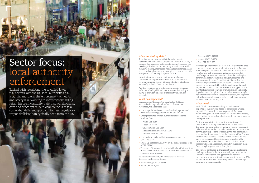### **What are the key risks?**

There is a strong consensus that the logistics sector represents the most challenging risk for the local authority to manage. Our increased preference for internet shopping has seen huge distribution centres spring up nationwide. With high level racking, mechanical handling equipment and large numbers of employees, agency and gig economy workers, the area presents something of a perfect storm.

Notwithstanding our penchant for home shopping, traditional retail premises continue to cause concern for Environmental Health Officers, who have also been extremely active in the food retail sector.

Another growing area of enforcement activity is in care, reflective of well publicised concerns over the quality and safety of provision for some of the most vulnerable in our society.

#### **What has happened?**

In researching this report, we contacted 350 local authorities in England and Wales. Of the 340 that responded, we discovered that:-

- **•** The range of fines levied on local authority prosecuted defendants was huge; from GBP 160 to GBP 2.2m.
- **•** Cases prosecuted by local authorities yielded some headline fines:-
- Wilko: GBP 2.2m
- Decco: GBP 2.2m
- G4S Solutions: GBP 1.8m
- Maria Mallaband Care: GBP 1.6m
- Embrace All: GBP 1.5m
- **•** The total sum collected in fines was an enormous GBP 15,150,664
- **•** This is up a staggering 1,870% on the previous year's total of GBP 768,883
- **•** There were 14 prosecutions of individuals, with 6 resulting in suspended prison sentences. Two immediate custodial sentences were imposed

As a sector breakdown, the responses we received disclosed the following totals:-

- **•** Warehousing: GBP 4,795,000
- **•** Retail: GBP 4,426,630

- **•** Catering: GBP 1,338,728
- **•** Leisure: GBP 1,240,250
- **•** Care: GBP 3,213,500

### Sector focus: local authority enforcement

Interestingly there were 282 (83% of all respondents) that pursued no prosecutions at all in the year to 31 January 2017. Well publicised cuts in public sector funding have resulted in a lack of resource within environmental health departments nationwide. This understaffing has contributed to fewer incidents being investigated and fewer prosecutions, as Councils try to live within their means and prioritise matters for action. This reduced capacity is compounded by cuts to local authority legal departments, which find themselves ill equipped for the inevitable rigours of complex criminal health and safety litigation. Even though local authorities overwhelmingly achieve convictions in the cases they pursue, the litigation risk although small appears to be enough to deter some councils from proceeding at all.

#### **What next?**

With distribution centres taking on an increased importance in delivering goods to consumers, we can expect EHOs to continue to sharpen their focus on warehousing and its attendant risks. For retail businesses, this requires increased emphasis on safety management in these premises.

For the larger retail enterprise, the importance of the Primary Authority scheme cannot be overstated. The ability to work with a regulator to receive robust and reliable advice for other councils to take into account when carrying out inspections or dealing with non-compliance is invaluable. In our experience, businesses with a Primary Authority relationship are perceived as responsible and safety conscious and benefit in many ways from the time invested with their lead Council. This has helped successfully defend prosecutions and even prevent them from being instigated in the first place.

The figures contained in this report will make startling reading for those in the local authority enforced sector. Whilst the chances of being prosecuted remain extremely low, local authorities continue to achieve a 95% conviction rate and so the consequences of receiving a summons are considerable.

Tasked with regulating the so called lower risk sectors, almost 400 local authorities play a significant role in the enforcement of health and safety law. Working in industries including retail, leisure, hospitality, catering, warehousing, care and office space, our local councils take a somewhat different approach to their regulatory responsibilities than typically seen from the HSE.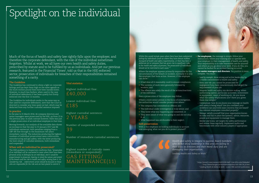# Spotlight on the individual

Much of the focus of health and safety law rightly falls upon the employer, and therefore the corporate defendant, with the role of the individual sometimes forgotten. Whilst at work, we all have our own health and safety duties, prescribed by statute and to be fulfilled by us as individuals. And yet our previous research, featured in the Financial Times<sup>1</sup>, told us that in the HSE enforced sector, prosecution of individuals for breaches of their responsibilities remained something of a rarity.

#### **The Guideline**

The Guideline has continued to shine a light on corporate failings and has kept them high on the news agenda as the multi-million pound fines have been handed down. However, to much less fanfare, when used in the case of individual defendants it has been quietly but firmly enforced over the first 12 months.

The Guideline for individuals works in the same way as that used for corporate defendants, save that the Court is directed to consider any time spent on bail, which may be deducted from any further custodial sentence imposed.

#### **In practice**

In the year to 31 March 2016, 46 company directors and senior managers were prosecuted by the HSE, up from 15 in the previous year. In stark contrast however, there was just a single prosecution of an individual employee in that time.

> *damaging their organisation.* Leading Health and Safety at Work<sup>3</sup>

Moving forwards, our analysis of the available data shows an increase in that the year to 31 January 2017 saw 86 individuals sentenced, with penalties ranging from a GBP 185 fine through to the maximum two years' immediate custody. The industries producing the highest numbers of individual prosecutions were construction, manufacturing and gas safety, with the latter producing the lion's share of custodial sentences, both immediate and suspended.

#### **When will an individual be prosecuted?**

The HSE guidance to Inspectors confirms that, *"prosecution of an individual will be warranted in cases where there have been personal act(s) or failing(s) by an individual, and it would be proportionate to prosecute, bearing in mind the nature and extent of the breach and the risk to health and safety arising from it. In considering risk… enforcement action should be focused on those who are responsible for the risk and are best placed to control it.* 

1 https://www.ft.com/content/bb955028-9e87-11e6-891e-abe238dee8e2 2 http://www.hse.gov.uk/foi/internalops/ocs/100-199/130\_8.htm 3 Leading Health & Safety at work – a joint HSE and IoD publication

#### **Vital statistics:**

*Health and safety is integral to success. Board members who do not show leadership in this area are failing in their duty as directors and their moral duty and are* 

Highest individual fine: £40,000

Highest custodial sentence: 2 YEARS

Number of immediate custodial sentences:

8

Lowest individual fine: £185

Number of suspended sentences: 39

Highest number of custody cases (immediate or suspended)):

GAS FITTING/ MAINTENANCE(11) *failings by individuals (such as where they have shown reckless disregard of health and safety requirements), or there has been a deliberate act or omission that has given rise to significant risks to the health and safety of persons, the prosecution of individuals should not be restricted to such cases."* <sup>2</sup>

Where the employer appears primarily responsible for the circumstances of the breach or incident, normally it is only the employer that faces action. However, if the employer can show:-

- **•** It had done all it reasonably could to ensure compliance;
- **•** The systems of work were generally followed by workers; and
- **•** The offence was solely the result of the actions/inactions of the individual;



then a prosecution of the employee may follow.

Where a more senior person is the focus of investigation, the authorities would consider prosecution where:-

- **•** The company has committed an offence; and
- **•** The individual under investigation is truly senior; and
- **•** They knew what was happening and consented; or
- **•** They were aware of what was going on and did not stop it; or
- **•** What happened was attributable to their neglect.

#### **Self-preservation**

With a real emphasis on holding individuals to account now emerging, what can you do to protect yourself?

- instructions, follow your training and co-operate with your employer in their management of health and safety. Your responsibility is to take reasonable care for yourself and others as you go about your work. If you do this, you cannot be faulted for an incident having occurred.
- **•** For senior managers and directors, the position is more complex. You must:-
- *Lead by example:* show strong and active leadership by a visible commitment to health and safety
- *Know your role:* you cannot be prosecuted for negligence if you have conscientiously discharged the requirements of your job
- *Integrate health and safety into decision making:* when authorising spend, particular activities, investment in equipment, ways of working etc, do you know what the safety implications are? Have you given them due weight?
- *Communicate:* how do you know your message on health and safety is being heard? Are you confident your workforce can (and will) raise concerns that are heard? Are relevant employees consulted properly?
- *Manage:* satisfy yourself that your organisation knows its risks and has in place the systems, advice, resources, people and equipment to manage them
- *Monitor and review:* set targets for safety performance and review these regularly. Implement audits and benchmark with other industry players if appropriate

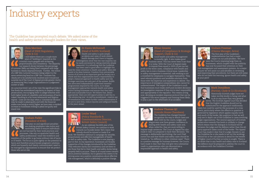## Industry experts

### **Andrew Thomas QC**



(Lincoln House Chambers) The Guideline has changed beyond recognition the way in which cases are dealt with by the courts. Judges and Magistrates now have greater confidence in

dealing with health and safety cases and, when called for, they are more willing to impose tough sentences. The Court of Appeal has also

#### **Dr Karen McDonnell**  Head of RoSPA Scotland)

made it clear it is prepared to back their decisions. The message is deliberately hard hitting: the Lord Chief Justice has said that health and safety cases should be treated as, "no different to other criminal cases". There is a positive message for business however; the Courts have made it clear that they will give very substantial credit to organisations who can demonstrate a responsible approach to health and safety.



Health and safety is quite simple: accidents and cases of work related health damage don't have to happen. Investigations show that the vast majority can be easily prevented by taking relatively simple measures. It is refreshing that the Guideline has been used to good effect to highlight the need for closer attention to health and safety. More still needs to be done however. Freedom from preventable harms of all sorts is an important goal for society as a whole and thus organisations have a responsibility to adopt a balanced approach to health safety and risk. Stronger sanctions are only part of the answer. RoSPA has advocated independently supervised remedial programmes imposed by the courts, to re-shape management approaches towards health and safety within failing businesses and ensure that they had a safe and sustainable future. We believe that, where appropriate, there are still opportunities to add this to  $\,$ 'the sentencing mix'. As well as punishment, creative use of remediation also needs further careful examination if we are to save lives, reduce injuries and safeguard health in the years ahead.

has now focussed their attention on their  $\,$ risk management and assessment systems. As a major  $\overline{\rm i}$ nsurer we $\rm \overline{\rm w}$ ill assist our policyholders in reviewing and improving their procedures, but there are still some who do not heed the warning. Ignore health and safety at your peril!

### **Graham Parker** President of IOSH)

#### **Louise Ward**  (Policy Standards & Communications Director, British Safety Council)

#### **Chris Morrison**  (Head of SSHE Regulatory, lvde & Co)

As we celebrate the 60th year of the British Safety Council, we continue to work towards our founder James Tye's vision that nobody should be injured or made ill at work. We therefore continue to campaign for sensible, proportionate and effective management of health as well as safety risks. The Guideline is now playing a part in that. In my experience, businesses are broadly supportive of the changes introduced by the Guideline. They welcome clarity and consistency and are keen to see those that fail in their health and safety duties being properly held to account. There is of course some concern about potential liabilities, but in general this seems to be driving some very positive conversations about effective risk management, which is definitely a positive change.

#### Head of Compliance & Strategi Support, Clyde & Co)

#### **Graham Freeman**  (Claims Manager, Aviva)

The first year of the Guideline's implementation has had a major impact on our policyholders. We have seen the Courts imposing large fines on businesses, which coupled with the publicity

One year on and significant penalties are making employers take notice and motivating them to ensure individuals are not harmed by their work practices and processes. Like any occupational health and safety professional I want the workforce and members of the public to go home without risk of harm or ill health. The focus is quite rightly on the potential to harm and therefore proportionate pragmatic solutions which are honestly and clearly communicated, need to be managed by organisations to ensure that we protect those who are at risk.



The Guideline has prompted much debate. We asked some of the health and safety sector's thought leaders for their views.



I still believe there are a couple more years of 'bedding in' required as the criminal courts grapple with achieving proportionality and consistency. The disparity our research shows between the percentage of turnover SMEs are being fined compared with large business is clearly disproportionate. Further, the notion of a GBP 50m turnover business being subject to the same sentencing band as a GBP 1bn  $+$  business has clearly yet to be satisfactorily resolved and it would not surprise me if the Court of Appeal provide greater clarity on sentencing Very Large Organisations in a judgement sooner or later.

At a practical level I am of the view the significant hike in fine levels has emboldened regulators in respect of their prosecutions, encouraging them to allege breaches with both higher levels of culpability and seriousness of harm risked, resulting in a far more adversarial and litigious regime. Gone are the days when a 'commercial decision' may be made to plead guilty and with the financial stakes now being so much higher we have seen a marked increase in businesses willing to plead not guilty and stand trial.



### **Rhian Greaves**



Good health and safety management is morally right. It also makes good business sense. This has never been truer than it is today. With the Court of Appeal ready

to impose fines equal to 100% of pre-tax net profit in the worst cases, compliance with health and safety law is now a business critical issue. Leadership in safety management is essential; safe working is not a minefield for employees to navigate themselves. They need relevant guidance and workable solutions from those with the expertise and experience to deliver. The importance of emergency preparedness also cannot be underestimated. The impact of the Guideline is such that businesses must make swift post-incident decisions on investigation response if they are to react responsibly and appropriately to the regulator. This means acting now; devising an incident response protocol that can be tring the compared if the worst happens and training those likely to play a part in the aftermath of an accident.

#### **Mark Donaldson**

(Partner, Clyde & Co (Scotland)) Historically Scottish judges have not taken terribly kindly to being told what to do in any more than very general terms. The Scottish Appeal Court has decided that the English Guideline should not be substituted for the approach traditionally taken but could be used for the purposes of a cross check, particularly where the offence in question is governed by legislation which applies equally north and south of the border. My suspicion is that we will only see in depth use of the Guideline in cases involving larger organisations. The neutral approach of Scottish prosecutors towards fine levels is unlikely to change which means that the dialogue in Scotland will be between the judge and the defence rather than the allparty approach taken south of the border. The Appeal Court has made it clear that if a judge chooses to use the Guideline he or she needs to set out the workings behind his or her calculations in detail for the benefit of higher courts if further scrutiny is sought. There is no doubt that in any health and safety case in Scotland the defence must be prepared to address the court in accordance with the Guideline if invited.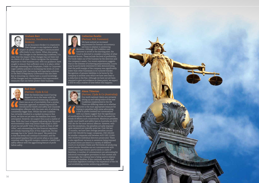

#### **Graham Barr**  ) irector, Henderson Insurance Brokers)

As an Insurance Broker it is imperative that changes to any legislation which impact on policy coverage is communicated effectively to our clients. When discussing the changes to the Sentencing Guidelines, it is clear that the impact of the changes has not been lost on clients of all sizes. Clients recognise the increased exposure to their business and, with our guidance, have sought to ensure that sufficient cover is in place, either through extending their Employers, Public or Corporate Legal Liability policies or increasing the levels of cover they already hold. Partnering with specialist solicitors in the field of Regulatory Governance has also been key in ensuring our clients have a sound knowledge of the changes and can implement risk improvement measures that can better protect their business.

### **Alena Titterton**



Our multi-national clients are certainly sitting up and taking notice of the new Guidelines implemented in the UK. There are differing views as to whether turnover is the most appropriate measure for linking to penalties (with some advocating a link to profits instead) but conversations

with our clients suggest that the significance of ramifications for breach in the UK has focussed the minds of officers such corporations. Maximum penalties under most health and safety laws in Australia are AUD USD 3m for the most serious offences. However, with very few exceptions, the penalties actually imposed upon sentence are typically quite low. Over the last 12 months, we have seen average penalties around AUD USD 300,000 for larger companies, USD 200,000 for smaller companies and between AUD USD 12,000- USD 20,000 for individual directors prosecuted. There is also significant variance in sentences being imposed as prosecutions are heard in a variety of different courts in Australia's States and Territories all producing varied results. Penalties are not commensurate with community expectations (particularly in cases of fatalities). A number of commentators are advocating for industrial manslaughter provisions in that context and increasingly, the criminal law is being used in relation to industrial fatalities. If this continues, we may find Australian legislators looking to the experience of the UK and establishing similar sentencing guidelines.

#### **Rod Hunt**  (Partner, Clyde & Co)



#### With the Sentencing Council having dipped its toe in the water with the Environmental Sentencing Guidelines, there was an air of inevitability that a similar, formulaic approach to sentencing would be introduced for health and safety and corporate manslaughter offences with the main aim of achieving consistently bigger fines. Whilst the new Guideline has certainly resulted in a marked increase in fine levels, we have not yet seen the headline fine many anticipated. However, we suspect this is just a matter of time. With the Court of Appeal indicating that the worst environmental cases may attract fines equal to 100% of pre-tax net profit "even if this results in fines of GBP 100m", and commenting that the financial regulators are already imposing fines of this magnitude, the key message has to be "watch this space". My prediction is that fine levels will continue to increase, and the anticipated headline fine will arrive when a very large corporate with big profit margins commits a health and safety offence with the aggravating feature of profit before safety.

**Catherine Rawlin**  Partner, RGL Forensics) We have noticed an increased requirement for forensic accountancy services in relation to sentencing decisions. Although the Guideline uses turnover to arrive at the starting point, the Court is directed to consider a number of other financial factors. These include the level of profitability, the funds taken out of the business by the directors and the company's assets. Our recent experience suggests that in the interests of achieving proportionality, Courts may be particularly interested in data demonstrating that the profit margin of the company was significantly lower than other businesses in its turnover bracket. Recognition of pension liabilities to be borne by the company is another area which we have seen lead to a reduction in the fine. Although we have not yet been required to give oral evidence on these points, we expect it will be only a matter of time before this happens.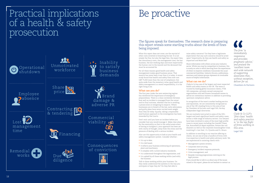## Practical implications of a health & safety prosecution

# Be proactive



The figures speak for themselves. The research done in preparing this report reveals some startling truths about the levels of fines being imposed.

What this report does not cover, are the myriad of other costs involved in breaching the law. It is not simply the fine, but also the legal fees, the expert fees, the consultancy costs, the management time, the lost business, the lost working days and most importantly the human cost to the injured and the deceased that must be accounted for.

For all these reasons good health and safety management makes good business sense. That mantra has never been truer than it is today. A recent study found that health and safety fines now cost GBP 75,000 more than the cost of compliance. But quite aside from the monetary value, good health and safety management is a moral responsibility; it is the right thing to do.

### **What can you do?**

The first year under the new sentencing regime has reinforced the importance of emergency preparedness. There is a close correlation between how well an incident is managed from the outset and its final outcome, whether that be in avoiding a prosecution or mitigating its impacts. Where businesses are in breach of the law, early admissions and guilty pleas have never carried more weight than they do today. Equally, taking a responsible (and human) approach to the investigation has been rewarded by the Courts.

Don't wait until you have an incident before you consider how you would manage it. Make clear plans for the eventuality so that in the unfortunate event of having to instigate it, your approach has been set with clarity of thought, away from the stress and the pressure of dealing with a serious incident.

Also use this opportunity to look at your health and safety management system. Consider whether:-

*The firm 'is immediately responsive and provides pragmatic advice,' and praised the 'excellent team and wide network of supporting associates that, without exception, deliver for us.* Chambers & Partners The firm<br>
immediat<br>
responsiv<br>
and prov<br>
praamati



- **•** It is up to date; **•** It is risk based;
- **•** It reflects your business embracing all operations, plant and machinery;
- **•** It complies with current industry standards;
- **•** It is understood throughout the organisation; and
- **•** It is upheld by all those working within (and with) the business

Talk to those working within your business. Do they really understand the systems in the way you anticipate or hope they do? Do they feel able to

raise safety concerns? Do they have a legitimate expectation that any such concerns would be acted upon? Importantly, do they see health and safety as important and Board led?

Share information with others across your industry sector. Whilst you may be competitors in business, this is surely an area in which learning from the experiences of others to improve conditions transcends the usual commercial hostilities. Industry forums, publications, seminars and interest groups represent an invaluable source of helpful information.

### **What can we do?**

Clyde & Co has one of the largest and most respected health and safety teams in the UK. The team is trusted by leading global insurance clients, FTSE 100 companies, privately owned commercial organisations and well known household names to advise on contentious matters in addition to providing upstream compliance advice.

In recognition of the team's market leading service and reputation, we are consistently recognised as one of the UK's leading firms in this area of law by Chambers & Partners and Legal 500, the key independent legal directories.

We are routinely instructed in some of the UK's largest and most significant health and safety cases, across a wide range of industry sectors. Our lawyers have been involved in some of the most high profile cases in recent years including the Grenfell Tower fire, Buncefield oil depot explosion, Potters Bar rail disasters as well as the corporate manslaughter trials involving *R v Lion Steel*, *R v Pyranha* and *R v Brown*.

In addition to excelling in our reactive offering to clients, we are one of only a handful of firms with true expertise in health and safety advisory work. We are experienced in assisting clients with:-

- 
- 
- **•** Emergency incident response protocols;
- 
- **•** Management system reviews;
- **•** Corporate restructuring;
- **•** Crisis management; and
- **•** Bespoke training programmes centring on the

legal process

If you would like to talk to us about any of the issues raised in this report, please do not hesitate to contact us.



*Clyde & Co LLP's 'first-class' health and safety practice*  **i**<br> *is* 'first-class' health<br>
and safety practice<br>
is 'in the top flight<br>
of firms working in *of firms working in this area.*

Legal 500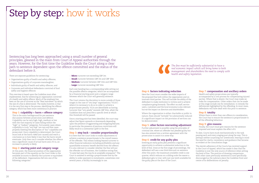# Step by step: how it works

Sentencing has long been approached using a small number of general principles, gleaned in the main from Court of Appeal authorities through the years. However, for the first time the Guideline leads the Court along a clear path to sentence dependent upon the offence committed and the status of the defendant before it.

There are separate guidelines for sentencing:-

- **•** Organisations guilty of health and safety offences;
- **•** Organisations guilty of corporate manslaughter;
- **•** Individuals guilty of health and safety offences; and
- **•** Corporate and individual defendants convicted of food safety and hygiene offences

This overview is based upon the Guideline most often implemented, that for sentencing an organisation convicted of a health and safety offence. Much of the emphasis has been on the use of turnover as the *"blunt instrument"* by which the size of a fine is determined. The reality however, is that it is the very first step in the process, identifying the offence category, which has been most contentious in practice.

#### **Step 1: culpability + harm = offence category**

This is the main battleground for pre-sentence discussions between prosecution and defence. Culpability can be very high, high, medium or low with the vast majority of cases falling within the "high" or *"medium"* categories. Fortunately cases where culpability is truly *"very high"* are rare and few cases properly meeting the description of *"low"* culpability are prosecuted. Once culpability is determined, the Court must look at the harm *risked* (not caused) and reach a conclusion as to how likely it was that the harm would eventuate. Only then can it consider whether the offence was a significant cause of actual harm and, if it is, an increase in penalty is likely.

#### **Step 2: starting point and category range**

At this point, the financial position of the organisation becomes part of the equation as the Court looks to the available accounts to identify the turnover or equivalent of the defendant. Organisations fall into one of the following categories:-

- **Micro:** turnover not exceeding GBP 2m
- **Small:** turnover between GBP 2m and GBP 10m
- Medium: turnover between GBP 10m and GBP 50m
- Large: turnover exceeding GBP 50m

Each size banding has a corresponding table setting out the possible offence categories, which are accompanied by a financial starting point and a category range between which the Court will generally sentence.

The Court retains the discretion to move outside of those ranges in the case of *"very large"* organisations ("VLOs") where it is necessary to do so in order to achieve a proportionate penalty. VLOs are identifiable as having turnover that *"very greatly"* exceeds GBP 50m, albeit the Guideline does not prescribe a specific level at which this threshold will be passed.

Once a starting point has been identified, the court may adjust that figure upwards or downwards depending upon the presence of aggravating and mitigating features. In particular the presence of previous convictions will likely result in a substantial uplift in the fine.

#### **Step 3: step back – consider proportionality**

It is here that the Court looks to make adjustments to achieve a sentence proportionate to the overall means of the offender. This means looking beyond turnover to other financial indicators including profitability and any quantifiable economic benefit derived from the offence. It is also relevant to consider whether the fine will put the offender out of business, the Guideline noting that, *"in some bad cases this may be an acceptable consequence".* The Court is assisted in setting a proportionate fine by the ability to order payment in instalments, sometimes over several years; a facility increasingly in use.

#### **Step 4: factors indicating reduction**

Here the Court must consider the wider impacts of the proposed fine both within the organisation and on innocent third parties. This will include the ability of the defendant to make restitution to victims and to achieve compliance going forwards. The effect on staff, service users, customers and the local economy is also relevant but *not* the impact on directors and shareholders.

Where the organisation is either charitable or public in nature, fines should *"normally"* be substantially reduced if a significant impact on the provision of services can be demonstrated.

#### **Step 5: other factors warranting adjustment**

Further adjustment is possible using the principles of criminal law, where an offender has pleaded guilty but has also entered into a written agreement with the prosecution to assist it in some way.

#### **Step 6: credit for any guilty plea**

Entering an early guilty plea presents a significant opportunity to achieve a substantial reduction in the level of fine. Done at the first stage of proceedings, the defendant will see a one third discount on sentence. After this point, the maximum available credit is one quarter, which reduces on a sliding scale the nearer a defendant gets to trial, with just one tenth available for the guilty plea at the door of the Court.

#### **Step 7: compensation and ancillary orders**

Health and safety prosecutions are typically accompanied by a civil process for compensating injured parties. Where that is absent, the Court may make an order for compensation. Other orders that can be made at this stage include one for remediation; to remedy the deficiencies highlighted by the offending. In most cases, defendants will have dealt with this prior to sentence.

#### **Step 8: totality**

Where there is more than one offence in consideration, the Court has to ensure the sentence is proportionate to *all* the offending behaviour.

#### **Step 9: give reasons**

Finally, the Court must give reasons for the sentence imposed and must explain the effect of it.

To date, Courts have stuck mechanistically to the task passing each and every staging post along the way. This is perhaps neither surprising nor unwelcome, bearing in mind the need for clarity, consistency and guidance that became so evident at the consultation stage.

The slavish adherence of the Courts has received support in the Court of Appeal, which has made it clear that the Guideline is now the only source of reference when setting the level of fine. The practice of drawing comparisons with other cases previously sentenced is now specifically discouraged as the judiciary place the Guideline front and centre of its deliberations on penalty.

*The fine must be sufficiently substantial to have a real economic impact which will bring home to both management and shareholders the need to comply with*